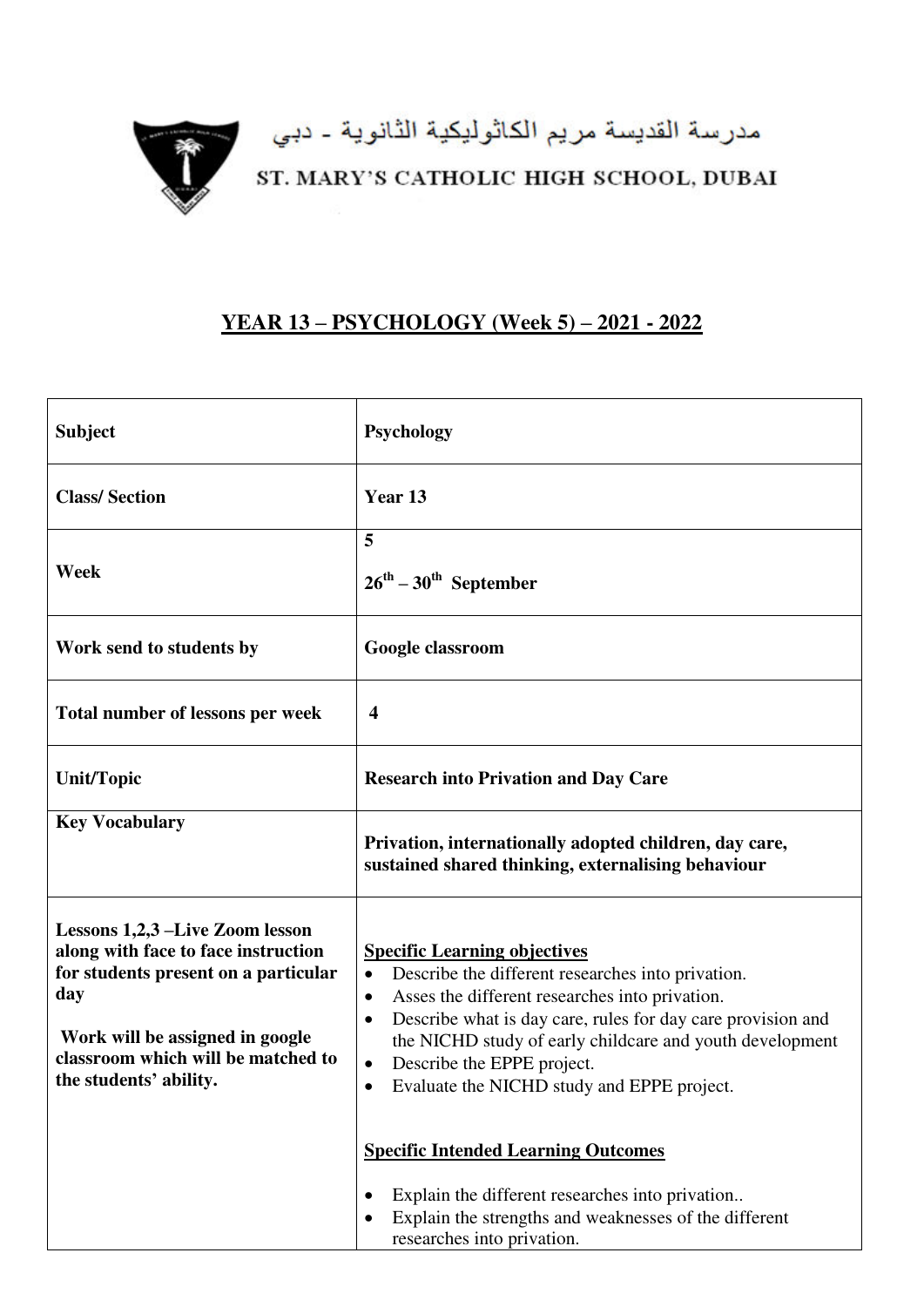

## **YEAR 13 – PSYCHOLOGY (Week 5) – 2021 - 2022**

| <b>Subject</b>                                                                                                                                                                                                                   | Psychology                                                                                                                                                                                                                                                                                                                                                                                                         |
|----------------------------------------------------------------------------------------------------------------------------------------------------------------------------------------------------------------------------------|--------------------------------------------------------------------------------------------------------------------------------------------------------------------------------------------------------------------------------------------------------------------------------------------------------------------------------------------------------------------------------------------------------------------|
| <b>Class/Section</b>                                                                                                                                                                                                             | Year 13                                                                                                                                                                                                                                                                                                                                                                                                            |
| Week                                                                                                                                                                                                                             | 5<br>$26^{\text{th}} - 30^{\text{th}}$ September                                                                                                                                                                                                                                                                                                                                                                   |
| Work send to students by                                                                                                                                                                                                         | Google classroom                                                                                                                                                                                                                                                                                                                                                                                                   |
| Total number of lessons per week                                                                                                                                                                                                 | $\overline{\mathbf{4}}$                                                                                                                                                                                                                                                                                                                                                                                            |
| <b>Unit/Topic</b>                                                                                                                                                                                                                | <b>Research into Privation and Day Care</b>                                                                                                                                                                                                                                                                                                                                                                        |
| <b>Key Vocabulary</b>                                                                                                                                                                                                            | Privation, internationally adopted children, day care,<br>sustained shared thinking, externalising behaviour                                                                                                                                                                                                                                                                                                       |
| <b>Lessons 1,2,3 – Live Zoom lesson</b><br>along with face to face instruction<br>for students present on a particular<br>day<br>Work will be assigned in google<br>classroom which will be matched to<br>the students' ability. | <b>Specific Learning objectives</b><br>Describe the different researches into privation.<br>$\bullet$<br>Asses the different researches into privation.<br>$\bullet$<br>Describe what is day care, rules for day care provision and<br>$\bullet$<br>the NICHD study of early childcare and youth development<br>Describe the EPPE project.<br>$\bullet$<br>Evaluate the NICHD study and EPPE project.<br>$\bullet$ |
|                                                                                                                                                                                                                                  | <b>Specific Intended Learning Outcomes</b><br>Explain the different researches into privation<br>$\bullet$<br>Explain the strengths and weaknesses of the different<br>researches into privation.                                                                                                                                                                                                                  |